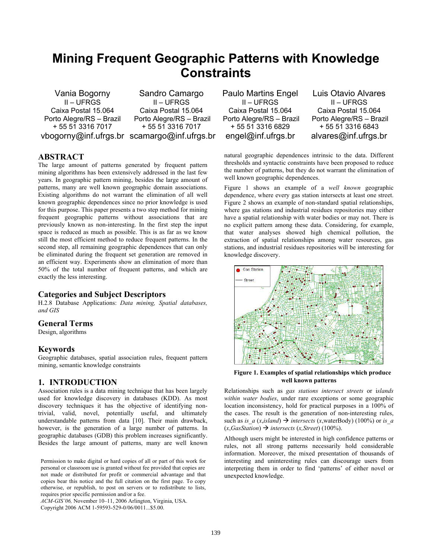# **Mining Frequent Geographic Patterns with Knowledge Constraints**

Vania Bogorny II – UFRGS Caixa Postal 15.064 Porto Alegre/RS – Brazil + 55 51 3316 7017 vbogorny@inf.ufrgs.br scamargo@inf.ufrgs.br

Sandro Camargo II – UFRGS Caixa Postal 15.064 Porto Alegre/RS – Brazil + 55 51 3316 7017

# **ABSTRACT**

The large amount of patterns generated by frequent pattern mining algorithms has been extensively addressed in the last few years. In geographic pattern mining, besides the large amount of patterns, many are well known geographic domain associations. Existing algorithms do not warrant the elimination of all well known geographic dependences since no prior knowledge is used for this purpose. This paper presents a two step method for mining frequent geographic patterns without associations that are previously known as non-interesting. In the first step the input space is reduced as much as possible. This is as far as we know still the most efficient method to reduce frequent patterns. In the second step, all remaining geographic dependences that can only be eliminated during the frequent set generation are removed in an efficient way. Experiments show an elimination of more than 50% of the total number of frequent patterns, and which are exactly the less interesting.

### **Categories and Subject Descriptors**

H.2.8 Database Applications: *Data mining, Spatial databases, and GIS* 

### **General Terms**

Design, algorithms

### **Keywords**

Geographic databases, spatial association rules, frequent pattern mining, semantic knowledge constraints

### **1. INTRODUCTION**

Association rules is a data mining technique that has been largely used for knowledge discovery in databases (KDD). As most discovery techniques it has the objective of identifying nontrivial, valid, novel, potentially useful, and ultimately understandable patterns from data [10]. Their main drawback, however, is the generation of a large number of patterns. In geographic databases (GDB) this problem increases significantly. Besides the large amount of patterns, many are well known

Permission to make digital or hard copies of all or part of this work for personal or classroom use is granted without fee provided that copies are not made or distributed for profit or commercial advantage and that copies bear this notice and the full citation on the first page. To copy otherwise, or republish, to post on servers or to redistribute to lists, requires prior specific permission and/or a fee.

*ACM-GIS'06,* November 10–11, 2006 Arlington, Virginia, USA. Copyright 2006 ACM 1-59593-529-0/06/0011...\$5.00.

Paulo Martins Engel II – UFRGS Caixa Postal 15.064 Porto Alegre/RS – Brazil + 55 51 3316 6829 engel@inf.ufrgs.br

Luis Otavio Alvares II – UFRGS Caixa Postal 15.064 Porto Alegre/RS – Brazil + 55 51 3316 6843 alvares@inf.ufrgs.br

natural geographic dependences intrinsic to the data. Different thresholds and syntactic constraints have been proposed to reduce the number of patterns, but they do not warrant the elimination of well known geographic dependences.

Figure 1 shows an example of a *well known* geographic dependence, where every gas station intersects at least one street. Figure 2 shows an example of non-standard spatial relationships, where gas stations and industrial residues repositories may either have a spatial relationship with water bodies or may not. There is no explicit pattern among these data. Considering, for example, that water analyses showed high chemical pollution, the extraction of spatial relationships among water resources, gas stations, and industrial residues repositories will be interesting for knowledge discovery.



**Figure 1. Examples of spatial relationships which produce well known patterns** 

Relationships such as *gas stations intersect streets* or i*slands within water bodies*, under rare exceptions or some geographic location inconsistency, hold for practical purposes in a 100% of the cases. The result is the generation of non-interesting rules, such as *is\_a* (*x*,*island*)  $\rightarrow$  *intersects* (*x*,waterBody) (100%) or *is\_a*  $(x, GasStation) \rightarrow intersects (x, Street) (100\%).$ 

Although users might be interested in high confidence patterns or rules, not all strong patterns necessarily hold considerable information. Moreover, the mixed presentation of thousands of interesting and uninteresting rules can discourage users from interpreting them in order to find 'patterns' of either novel or unexpected knowledge.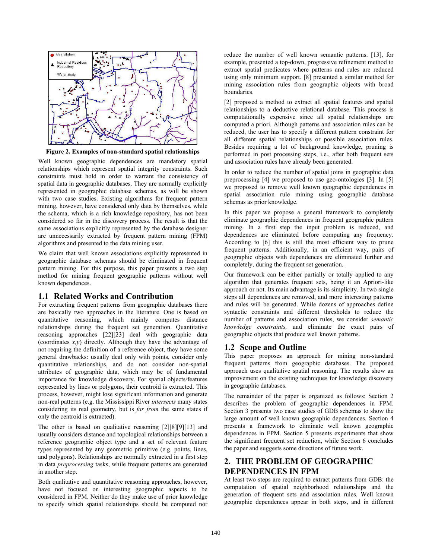

**Figure 2. Examples of non-standard spatial relationships** 

Well known geographic dependences are mandatory spatial relationships which represent spatial integrity constraints. Such constraints must hold in order to warrant the consistency of spatial data in geographic databases. They are normally explicitly represented in geographic database schemas, as will be shown with two case studies. Existing algorithms for frequent pattern mining, however, have considered only data by themselves, while the schema, which is a rich knowledge repository, has not been considered so far in the discovery process. The result is that the same associations explicitly represented by the database designer are unnecessarily extracted by frequent pattern mining (FPM) algorithms and presented to the data mining user.

We claim that well known associations explicitly represented in geographic database schemas should be eliminated in frequent pattern mining. For this purpose, this paper presents a two step method for mining frequent geographic patterns without well known dependences.

### **1.1 Related Works and Contribution**

For extracting frequent patterns from geographic databases there are basically two approaches in the literature. One is based on quantitative reasoning, which mainly computes distance relationships during the frequent set generation. Quantitative reasoning approaches [22][23] deal with geographic data (coordinates *x,y*) directly. Although they have the advantage of not requiring the definition of a reference object, they have some general drawbacks: usually deal only with points, consider only quantitative relationships, and do not consider non-spatial attributes of geographic data, which may be of fundamental importance for knowledge discovery. For spatial objects/features represented by lines or polygons, their centroid is extracted. This process, however, might lose significant information and generate non-real patterns (e.g. the Mississippi River *intersects* many states considering its real geometry, but is *far from* the same states if only the centroid is extracted).

The other is based on qualitative reasoning [2][8][9][13] and usually considers distance and topological relationships between a reference geographic object type and a set of relevant feature types represented by any geometric primitive (e.g. points, lines, and polygons). Relationships are normally extracted in a first step in data *preprocessing* tasks, while frequent patterns are generated in another step.

Both qualitative and quantitative reasoning approaches, however, have not focused on interesting geographic aspects to be considered in FPM. Neither do they make use of prior knowledge to specify which spatial relationships should be computed nor

reduce the number of well known semantic patterns. [13], for example, presented a top-down, progressive refinement method to extract spatial predicates where patterns and rules are reduced using only minimum support. [8] presented a similar method for mining association rules from geographic objects with broad boundaries.

[2] proposed a method to extract all spatial features and spatial relationships to a deductive relational database. This process is computationally expensive since all spatial relationships are computed a priori. Although patterns and association rules can be reduced, the user has to specify a different pattern constraint for all different spatial relationships or possible association rules. Besides requiring a lot of background knowledge, pruning is performed in post processing steps, i.e., after both frequent sets and association rules have already been generated.

In order to reduce the number of spatial joins in geographic data preprocessing [4] we proposed to use geo-ontologies [3]. In [5] we proposed to remove well known geographic dependences in spatial association rule mining using geographic database schemas as prior knowledge.

In this paper we propose a general framework to completely eliminate geographic dependences in frequent geographic pattern mining. In a first step the input problem is reduced, and dependences are eliminated before computing any frequency. According to [6] this is still the most efficient way to prune frequent patterns. Additionally, in an efficient way, pairs of geographic objects with dependences are eliminated further and completely, during the frequent set generation.

Our framework can be either partially or totally applied to any algorithm that generates frequent sets, being it an Apriori-like approach or not. Its main advantage is its simplicity. In two single steps all dependences are removed, and more interesting patterns and rules will be generated. While dozens of approaches define syntactic constraints and different thresholds to reduce the number of patterns and association rules, we consider *semantic knowledge constraints,* and eliminate the exact pairs of geographic objects that produce well known patterns.

# **1.2 Scope and Outline**

This paper proposes an approach for mining non-standard frequent patterns from geographic databases. The proposed approach uses qualitative spatial reasoning. The results show an improvement on the existing techniques for knowledge discovery in geographic databases.

The remainder of the paper is organized as follows: Section 2 describes the problem of geographic dependences in FPM. Section 3 presents two case studies of GDB schemas to show the large amount of well known geographic dependences. Section 4 presents a framework to eliminate well known geographic dependences in FPM. Section 5 presents experiments that show the significant frequent set reduction, while Section 6 concludes the paper and suggests some directions of future work.

# **2. THE PROBLEM OF GEOGRAPHIC DEPENDENCES IN FPM**

At least two steps are required to extract patterns from GDB: the computation of spatial neighborhood relationships and the generation of frequent sets and association rules. Well known geographic dependences appear in both steps, and in different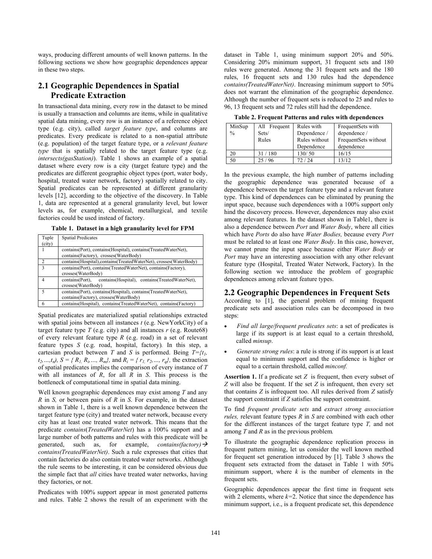ways, producing different amounts of well known patterns. In the following sections we show how geographic dependences appear in these two steps.

# **2.1 Geographic Dependences in Spatial Predicate Extraction**

In transactional data mining, every row in the dataset to be mined is usually a transaction and columns are items, while in qualitative spatial data mining, every row is an instance of a reference object type (e.g. city), called *target feature type*, and columns are predicates. Every predicate is related to a non-spatial attribute (e.g. population) of the target feature type, or a *relevant feature type* that is spatially related to the target feature type (e.g. *intersects(gasStation)*). Table 1 shows an example of a spatial dataset where every row is a city (target feature type) and the predicates are different geographic object types (port, water body, hospital, treated water network, factory) spatially related to city. Spatial predicates can be represented at different granularity levels [12], according to the objective of the discovery. In Table 1, data are represented at a general granularity level, but lower levels as, for example, chemical, metallurgical, and textile factories could be used instead of factory.

**Table 1. Dataset in a high granularity level for FPM** 

| Tuple         | <b>Spatial Predicates</b>                                          |  |  |
|---------------|--------------------------------------------------------------------|--|--|
| city)         |                                                                    |  |  |
|               | contains (Port), contains (Hospital), contains (Treated WaterNet), |  |  |
|               | contains(Factory), crosses(WaterBody)                              |  |  |
| $\mathcal{D}$ | contains(Hospital), contains(TreatedWaterNet), crosses(WaterBody)  |  |  |
| $\mathcal{R}$ | contains(Port), contains(TreatedWaterNet), contains(Factory),      |  |  |
|               | crosses(WaterBody)                                                 |  |  |
| 4             | contains(Port), contains(Hospital), contains(TreatedWaterNet),     |  |  |
|               | crosses(WaterBody)                                                 |  |  |
| $\varsigma$   | contains (Port), contains (Hospital), contains (Treated WaterNet), |  |  |
|               | contains(Factory), crosses(WaterBody)                              |  |  |
| 6             | contains(Hospital), contains(TreatedWaterNet), contains(Factory)   |  |  |

Spatial predicates are materialized spatial relationships extracted with spatial joins between all instances *t* (e.g. NewYorkCity) of a target feature type *T* (e.g. city) and all instances *r* (e.g. Route68) of every relevant feature type *R* (e.g. road) in a set of relevant feature types *S* (e.g. road, hospital, factory)*.* In this step, a cartesian product between *T* and *S* is performed. Being  $T=f(t)$ ,  $t_2, ..., t_n$ ,  $S = \{ R_1, R_2, ..., R_m \}$ , and  $R_i = \{ r_1, r_2, ..., r_q \}$ , the extraction of spatial predicates implies the comparison of every instance of *T* with all instances of *R*, for all *R* in *S*. This process is the bottleneck of computational time in spatial data mining.

Well known geographic dependences may exist among *T* and any *R* in *S,* or between pairs of *R* in *S*. For example, in the dataset shown in Table 1, there is a well known dependence between the target feature type (city) and treated water network, because every city has at least one treated water network. This means that the predicate *contains*(*TreatedWaterNet*) has a 100% support and a large number of both patterns and rules with this predicate will be generated, such as, for example, *contains(factory)* $\rightarrow$ *contains(TreatedWaterNet)*. Such a rule expresses that cities that contain factories do also contain treated water networks. Although the rule seems to be interesting, it can be considered obvious due the simple fact that *all* cities have treated water networks, having they factories, or not.

Predicates with 100% support appear in most generated patterns and rules. Table 2 shows the result of an experiment with the dataset in Table 1, using minimum support 20% and 50%. Considering 20% minimum support, 31 frequent sets and 180 rules were generated. Among the 31 frequent sets and the 180 rules, 16 frequent sets and 130 rules had the dependence *contains(TreatedWaterNet)*. Increasing minimum support to 50% does not warrant the elimination of the geographic dependence. Although the number of frequent sets is reduced to 25 and rules to 96, 13 frequent sets and 72 rules still had the dependence.

**Table 2. Frequent Patterns and rules with dependences** 

| MinSup        | All Frequent | Rules with    | FrequentSets with    |
|---------------|--------------|---------------|----------------------|
| $\frac{0}{0}$ | Sets/        | Dependence /  | dependence /         |
|               | Rules        | Rules without | FrequentSets without |
|               |              | Dependence    | dependence           |
| 20            | 31/180       | 130/50        | 16/15                |
| 50            | 25/96        | 72 / 24       | 13/12                |

In the previous example, the high number of patterns including the geographic dependence was generated because of a dependence between the target feature type and a relevant feature type. This kind of dependences can be eliminated by pruning the input space, because such dependences with a 100% support only hind the discovery process. However, dependences may also exist among relevant features. In the dataset shown in Table1, there is also a dependence between *Port* and *Water Body*, where all cities which have *Ports* do also have *Water Bodies,* because every *Port* must be related to at least one *Water Body*. In this case, however, we cannot prune the input space because either *Water Body* or *Port* may have an interesting association with any other relevant feature type (Hospital, Treated Water Network, Factory). In the following section we introduce the problem of geographic dependences among relevant feature types.

#### **2.2 Geographic Dependences in Frequent Sets**

According to [1], the general problem of mining frequent predicate sets and association rules can be decomposed in two steps:

- *Find all large/frequent predicates sets*: a set of predicates is large if its support is at least equal to a certain threshold, called *minsup*.
- *Generate strong rules*: a rule is strong if its support is at least equal to minimum support and the confidence is higher or equal to a certain threshold, called *minconf.*

**Assertion 1.** If a predicate set *Z* is frequent, then every subset of *Z* will also be frequent. If the set *Z* is infrequent, then every set that contains *Z* is infrequent too. All rules derived from *Z* satisfy the support constraint if *Z* satisfies the support constraint.

To find *frequent predicate sets* and *extract strong association rules,* relevant feature types *R* in *S* are combined with each other for the different instances of the target feature type *T,* and not among *T* and *R* as in the previous problem*.*

To illustrate the geographic dependence replication process in frequent pattern mining, let us consider the well known method for frequent set generation introduced by [1]. Table 3 shows the frequent sets extracted from the dataset in Table 1 with 50% minimum support, where  $k$  is the number of elements in the frequent sets.

Geographic dependences appear the first time in frequent sets with 2 elements, where *k=*2. Notice that since the dependence has minimum support, i.e., is a frequent predicate set, this dependence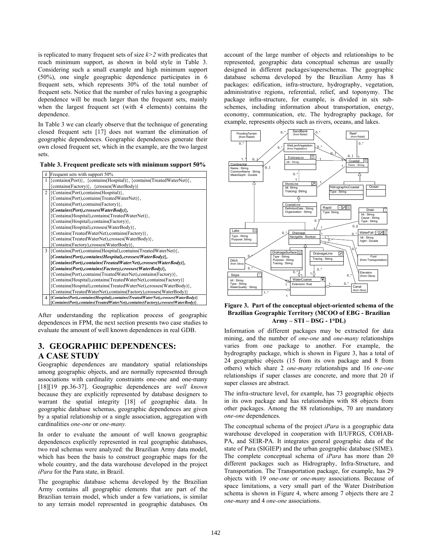is replicated to many frequent sets of size *k>2* with predicates that reach minimum support, as shown in bold style in Table 3. Considering such a small example and high minimum support (50%), one single geographic dependence participates in 6 frequent sets, which represents 30% of the total number of frequent sets. Notice that the number of rules having a geographic dependence will be much larger than the frequent sets, mainly when the largest frequent set (with 4 elements) contains the dependence.

In Table 3 we can clearly observe that the technique of generating closed frequent sets [17] does not warrant the elimination of geographic dependences. Geographic dependences generate their own closed frequent set, which in the example, are the two largest sets.

**Table 3. Frequent predicate sets with minimum support 50%** 

| k              | Frequent sets with support 50%                                                   |
|----------------|----------------------------------------------------------------------------------|
| 1              | {contains(Port)}, {contains(Hospital)}, {contains(TreatedWaterNet)},             |
|                | {contains(Factory)}, {crosses(WaterBody)}                                        |
| $\overline{c}$ | {Contains(Port), contains(Hospital)},                                            |
|                | {Contains(Port), contains(TreatedWaterNet)},                                     |
|                | {Contains(Port), contains(Factory)},                                             |
|                | {Contains(Port),crosses(WaterBody)},                                             |
|                | {Contains(Hospital), contains(TreatedWaterNet)},                                 |
|                | {Contains(Hospital), contains(Factory)},                                         |
|                | {Contains(Hospital), crosses(WaterBody)},                                        |
|                | {Contains(TreatedWaterNet), contains(Factory)},                                  |
|                | {Contains(TreatedWaterNet), crosses(WaterBody)},                                 |
|                | {Contains(Factory), crosses(WaterBody)},                                         |
| 3              | {Contains(Port), contains(Hospital), contains(TreatedWaterNet)},                 |
|                | {Contains(Port),contains(Hospital),crosses(WaterBody)},                          |
|                | {Contains(Port),contains(TreatedWaterNet),crosses(WaterBody)},                   |
|                | {Contains(Port), contains(Factory), crosses(WaterBody)},                         |
|                | {Contains(Port), contains(TreatedWaterNet), contains(Factory)},                  |
|                | {Contains(Hospital),contains(TreatedWaterNet),contains(Factory)}                 |
|                | {Contains(Hospital), contains(TreatedWaterNet), crosses(WaterBody)},             |
|                | {Contains(TreatedWaterNet),contains(Factory),crosses(WaterBody)}                 |
| 4              | {Contains(Port),contains(Hospital),contains(TreatedWaterNet),crosses(WaterBody)} |
|                | {Contains(Port),contains(TreatedWaterNet),contains(Factory),crosses(WaterBody)}  |

After understanding the replication process of geographic dependences in FPM, the next section presents two case studies to evaluate the amount of well known dependences in real GDB.

# **3. GEOGRAPHIC DEPENDENCES: A CASE STUDY**

Geographic dependences are mandatory spatial relationships among geographic objects, and are normally represented through associations with cardinality constraints one-one and one-many [18][19 pp.36-37]. Geographic dependences are *well known*  because they are explicitly represented by database designers to warrant the spatial integrity [18] of geographic data. In geographic database schemas, geographic dependences are given by a spatial relationship or a single association, aggregation with cardinalities *one-one* or *one-many.* 

In order to evaluate the amount of well known geographic dependences explicitly represented in real geographic databases, two real schemas were analyzed: the Brazilian Army data model, which has been the basis to construct geographic maps for the whole country, and the data warehouse developed in the project *iPara* for the Para state, in Brazil.

The geographic database schema developed by the Brazilian Army contains all geographic elements that are part of the Brazilian terrain model, which under a few variations, is similar to any terrain model represented in geographic databases. On account of the large number of objects and relationships to be represented, geographic data conceptual schemas are usually designed in different packages/superschemas. The geographic database schema developed by the Brazilian Army has 8 packages: edification, infra-structure, hydrography, vegetation, administrative regions, referential, relief, and toponymy. The package infra-structure, for example, is divided in six subschemes, including information about transportation, energy, economy, communication, etc. The hydrography package, for example, represents objects such as rivers, oceans, and lakes.



#### **Figure 3. Part of the conceptual object-oriented schema of the Brazilian Geographic Territory (MCOO of EBG - Brazilian Army – STI – DSG - 1**°**DL)**

Information of different packages may be extracted for data mining, and the number of *one-one* and *one-many* relationships varies from one package to another. For example, the hydrography package, which is shown in Figure 3, has a total of 24 geographic objects (15 from its own package and 8 from others) which share 2 *one-many* relationships and 16 *one-one* relationships if super classes are concrete, and more that 20 if super classes are abstract.

The infra-structure level, for example, has 73 geographic objects in its own package and has relationships with 88 objects from other packages. Among the 88 relationships, 70 are mandatory *one-one* dependences.

The conceptual schema of the project *iPara* is a geographic data warehouse developed in cooperation with II/UFRGS, COHAB-PA, and SEIR-PA. It integrates general geographic data of the state of Para (SIGIEP) and the urban geographic database (SIME). The complete conceptual schema of *iPara* has more than 20 different packages such as Hidrography, Infra-Structure, and Transportation. The Transportation package, for example, has 29 objects with 19 *one-one* or *one-many* associations*.* Because of space limitations, a very small part of the Water Distribution schema is shown in Figure 4, where among 7 objects there are 2 *one-many* and 4 *one-one* associations.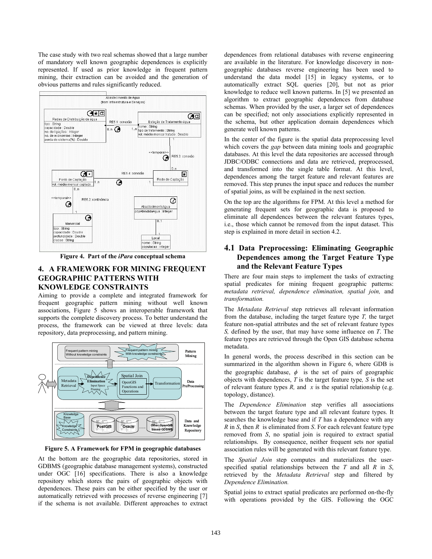The case study with two real schemas showed that a large number of mandatory well known geographic dependences is explicitly represented. If used as prior knowledge in frequent pattern mining, their extraction can be avoided and the generation of obvious patterns and rules significantly reduced.



**Figure 4. Part of the** *iPara* **conceptual schema** 

# **4. A FRAMEWORK FOR MINING FREQUENT GEOGRAPHIC PATTERNS WITH KNOWLEDGE CONSTRAINTS**

Aiming to provide a complete and integrated framework for frequent geographic pattern mining without well known associations, Figure 5 shows an interoperable framework that supports the complete discovery process. To better understand the process, the framework can be viewed at three levels: data repository, data preprocessing, and pattern mining.



**Figure 5. A Framework for FPM in geographic databases** 

At the bottom are the geographic data repositories, stored in GDBMS (geographic database management systems), constructed under OGC [16] specifications. There is also a knowledge repository which stores the pairs of geographic objects with dependences. These pairs can be either specified by the user or automatically retrieved with processes of reverse engineering [7] if the schema is not available. Different approaches to extract

dependences from relational databases with reverse engineering are available in the literature. For knowledge discovery in nongeographic databases reverse engineering has been used to understand the data model [15] in legacy systems, or to automatically extract SQL queries [20], but not as prior knowledge to reduce well known patterns. In [5] we presented an algorithm to extract geographic dependences from database schemas. When provided by the user, a larger set of dependences can be specified; not only associations explicitly represented in the schema, but other application domain dependences which generate well known patterns.

In the center of the figure is the spatial data preprocessing level which covers the *gap* between data mining tools and geographic databases. At this level the data repositories are accessed through JDBC/ODBC connections and data are retrieved, preprocessed, and transformed into the single table format. At this level, dependences among the target feature and relevant features are removed. This step prunes the input space and reduces the number of spatial joins, as will be explained in the next section.

On the top are the algorithms for FPM. At this level a method for generating frequent sets for geographic data is proposed to eliminate all dependences between the relevant features types, i.e., those which cannot be removed from the input dataset. This step is explained in more detail in section 4.2.

### **4.1 Data Preprocessing: Eliminating Geographic Dependences among the Target Feature Type and the Relevant Feature Types**

There are four main steps to implement the tasks of extracting spatial predicates for mining frequent geographic patterns: *metadata retrieval, dependence elimination, spatial join,* and *transformation.*

The *Metadata Retrieval* step retrieves all relevant information from the database, including the target feature type *T,* the target feature non-spatial attributes and the set of relevant feature types *S,* defined by the user, that may have some influence on *T*. The feature types are retrieved through the Open GIS database schema metadata.

In general words, the process described in this section can be summarized in the algorithm shown in Figure 6, where GDB is the geographic database,  $\phi$  is the set of pairs of geographic objects with dependences, *T* is the target feature type*, S* is the set of relevant feature types *R,* and *x* is the spatial relationship (e.g. topology, distance).

The *Dependence Elimination* step verifies all associations between the target feature type and all relevant feature types. It searches the knowledge base and if *T* has a dependence with any *R* in *S*, then *R* is eliminated from *S*. For each relevant feature type removed from *S*, no spatial join is required to extract spatial relationships. By consequence, neither frequent sets nor spatial association rules will be generated with this relevant feature type.

The *Spatial Join* step computes and materializes the userspecified spatial relationships between the *T* and all *R* in *S*, retrieved by the *Metadata Retrieval* step and filtered by *Dependence Elimination.* 

Spatial joins to extract spatial predicates are performed on-the-fly with operations provided by the GIS. Following the OGC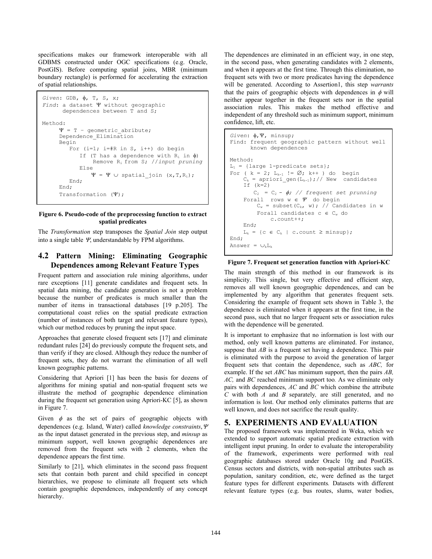specifications makes our framework interoperable with all GDBMS constructed under OGC specifications (e.g. Oracle, PostGIS). Before computing spatial joins, MBR (minimum boundary rectangle) is performed for accelerating the extraction of spatial relationships.

```
Given: GDB, φ, T, S, x; 
Find: a dataset Ψ without geographic 
       dependences between T and S; 
Method: 
     \Psi = T - geometric abribute;
      Dependence_Elimination 
      Begin 
         For (i=1; i=#R in S, i++) do begin
            If (T has a dependence with R_i in \phi)
                  Remove Ri from S; //input pruning
             Else 
                Ψ = Ψ ∪ spatial join (x, T, R<sub>i</sub>);
          End; 
      End; 
      Transformation (Ψ);
```
#### **Figure 6. Pseudo-code of the preprocessing function to extract spatial predicates**

The *Transformation* step transposes the *Spatial Join* step output into a single table  $\mathcal{V}$ , understandable by FPM algorithms.

# **4.2 Pattern Mining: Eliminating Geographic Dependences among Relevant Feature Types**

Frequent pattern and association rule mining algorithms, under rare exceptions [11] generate candidates and frequent sets. In spatial data mining, the candidate generation is not a problem because the number of predicates is much smaller than the number of items in transactional databases [19 p.205]. The computational coast relies on the spatial predicate extraction (number of instances of both target and relevant feature types), which our method reduces by pruning the input space.

Approaches that generate closed frequent sets [17] and eliminate redundant rules [24] do previously compute the frequent sets, and than verify if they are closed. Although they reduce the number of frequent sets, they do not warrant the elimination of all well known geographic patterns.

Considering that Apriori [1] has been the basis for dozens of algorithms for mining spatial and non-spatial frequent sets we illustrate the method of geographic dependence elimination during the frequent set generation using Apriori-KC [5], as shown in Figure 7.

Given  $\phi$  as the set of pairs of geographic objects with dependences (e.g. Island, Water) called *knowledge constraints*,<sup>Ψ</sup> as the input dataset generated in the previous step, and *minsup* as minimum support, well known geographic dependences are removed from the frequent sets with 2 elements, when the dependence appears the first time.

Similarly to [21], which eliminates in the second pass frequent sets that contain both parent and child specified in concept hierarchies, we propose to eliminate all frequent sets which contain geographic dependences, independently of any concept hierarchy.

The dependences are eliminated in an efficient way, in one step, in the second pass, when generating candidates with 2 elements, and when it appears at the first time. Through this elimination, no frequent sets with two or more predicates having the dependence will be generated. According to Assertion1, this step *warrants* that the pairs of geographic objects with dependences in  $\phi$  will neither appear together in the frequent sets nor in the spatial association rules. This makes the method effective and independent of any threshold such as minimum support, minimum confidence, lift, etc.

```
Given: φ,Ψ, minsup; 
Find: frequent geographic pattern without well 
        known dependences 
Method: 
L_1 = {large 1-predicate sets};
For ( k = 2; L_{k-1} := \emptyset; k++ ) do begin
    C_k = apriori gen(L<sub>k-1</sub>);// New candidates
    If (k=2)C_2 = C_2 - \phi; // frequent set prunning
    Forall rows w \in \varPsi do begin
         C_w = subset(C_k, w); // Candidates in w
         Forall candidates c \in C_w do
               c.count++; 
     End; 
    L_k = {c \in C_k \mid c.count \ge minsup};
End; 
Answer = \cup_k L_k
```
#### **Figure 7. Frequent set generation function with Apriori-KC**

The main strength of this method in our framework is its simplicity. This single, but very effective and efficient step, removes all well known geographic dependences, and can be implemented by any algorithm that generates frequent sets. Considering the example of frequent sets shown in Table 3, the dependence is eliminated when it appears at the first time, in the second pass, such that no larger frequent sets or association rules with the dependence will be generated.

It is important to emphasize that no information is lost with our method, only well known patterns are eliminated. For instance, suppose that *AB* is a frequent set having a dependence. This pair is eliminated with the purpose to avoid the generation of larger frequent sets that contain the dependence, such as *ABC,* for example. If the set *ABC* has minimum support, then the pairs *AB, AC,* and *BC* reached minimum support too*.* As we eliminate only pairs with dependences, *AC* and *BC* which combine the attribute *C* with both *A* and *B* separately*,* are still generated, and no information is lost. Our method only eliminates patterns that are well known, and does not sacrifice the result quality.

### **5. EXPERIMENTS AND EVALUATION**

The proposed framework was implemented in Weka, which we extended to support automatic spatial predicate extraction with intelligent input pruning. In order to evaluate the interoperability of the framework, experiments were performed with real geographic databases stored under Oracle 10g and PostGIS. Census sectors and districts, with non-spatial attributes such as population, sanitary condition, etc, were defined as the target feature types for different experiments*.* Datasets with different relevant feature types (e.g. bus routes, slums, water bodies,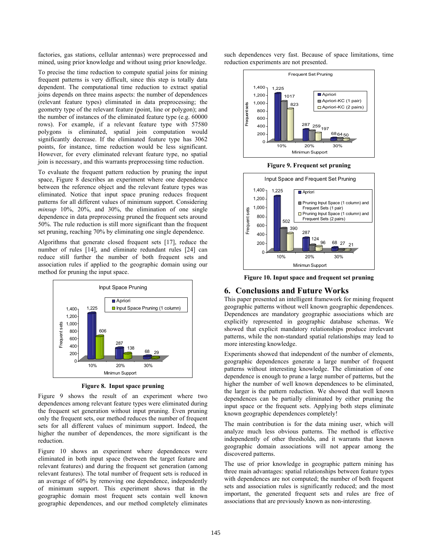factories, gas stations, cellular antennas) were preprocessed and mined, using prior knowledge and without using prior knowledge.

To precise the time reduction to compute spatial joins for mining frequent patterns is very difficult, since this step is totally data dependent. The computational time reduction to extract spatial joins depends on three mains aspects: the number of dependences (relevant feature types) eliminated in data preprocessing; the geometry type of the relevant feature (point, line or polygon); and the number of instances of the eliminated feature type (e.g. 60000 rows). For example, if a relevant feature type with 57580 polygons is eliminated, spatial join computation would significantly decrease. If the eliminated feature type has 3062 points, for instance, time reduction would be less significant. However, for every eliminated relevant feature type, no spatial join is necessary, and this warrants preprocessing time reduction.

To evaluate the frequent pattern reduction by pruning the input space, Figure 8 describes an experiment where one dependence between the reference object and the relevant feature types was eliminated. Notice that input space pruning reduces frequent patterns for all different values of minimum support. Considering *minsup* 10%, 20%, and 30%, the elimination of one single dependence in data preprocessing pruned the frequent sets around 50%. The rule reduction is still more significant than the frequent set pruning, reaching 70% by eliminating one single dependence.

Algorithms that generate closed frequent sets [17], reduce the number of rules [14], and eliminate redundant rules [24] can reduce still further the number of both frequent sets and association rules if applied to the geographic domain using our method for pruning the input space.



**Figure 8. Input space pruning**

Figure 9 shows the result of an experiment where two dependences among relevant feature types were eliminated during the frequent set generation without input pruning. Even pruning only the frequent sets, our method reduces the number of frequent sets for all different values of minimum support. Indeed, the higher the number of dependences, the more significant is the reduction.

Figure 10 shows an experiment where dependences were eliminated in both input space (between the target feature and relevant features) and during the frequent set generation (among relevant features). The total number of frequent sets is reduced in an average of 60% by removing one dependence, independently of minimum support. This experiment shows that in the geographic domain most frequent sets contain well known geographic dependences, and our method completely eliminates

such dependences very fast. Because of space limitations, time reduction experiments are not presented.



**Figure 9. Frequent set pruning** 



**Figure 10. Input space and frequent set pruning** 

# **6. Conclusions and Future Works**

This paper presented an intelligent framework for mining frequent geographic patterns without well known geographic dependences. Dependences are mandatory geographic associations which are explicitly represented in geographic database schemas. We showed that explicit mandatory relationships produce irrelevant patterns, while the non-standard spatial relationships may lead to more interesting knowledge.

Experiments showed that independent of the number of elements, geographic dependences generate a large number of frequent patterns without interesting knowledge. The elimination of one dependence is enough to prune a large number of patterns, but the higher the number of well known dependences to be eliminated, the larger is the pattern reduction. We showed that well known dependences can be partially eliminated by either pruning the input space or the frequent sets. Applying both steps eliminate known geographic dependences completely!

The main contribution is for the data mining user, which will analyze much less obvious patterns. The method is effective independently of other thresholds, and it warrants that known geographic domain associations will not appear among the discovered patterns.

The use of prior knowledge in geographic pattern mining has three main advantages: spatial relationships between feature types with dependences are not computed; the number of both frequent sets and association rules is significantly reduced; and the most important, the generated frequent sets and rules are free of associations that are previously known as non-interesting.